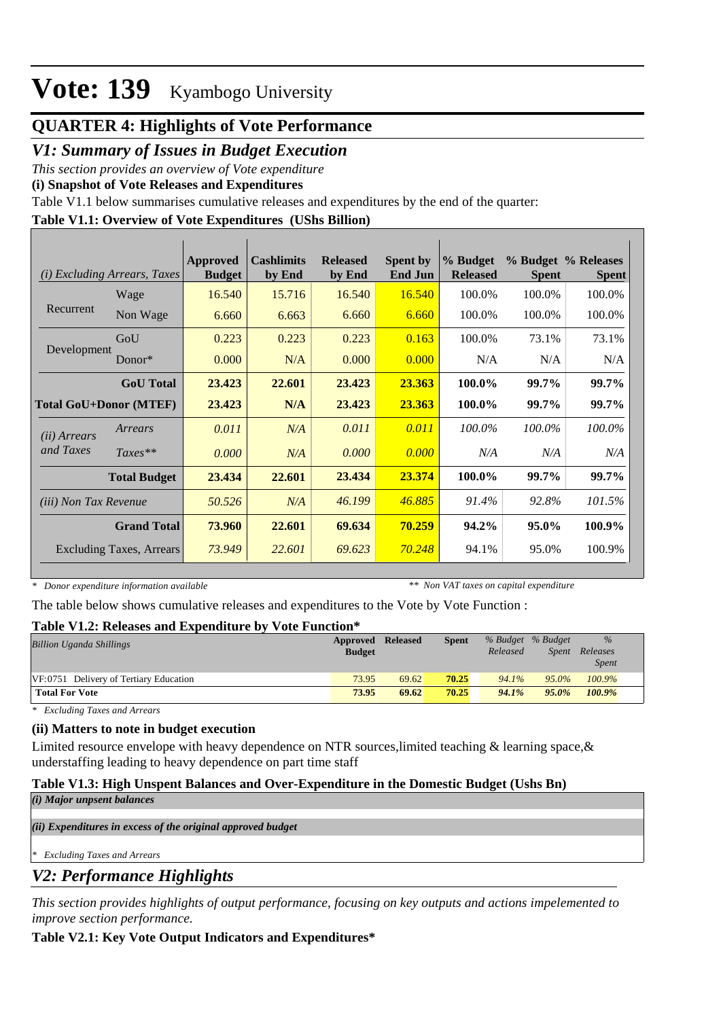## **QUARTER 4: Highlights of Vote Performance**

## *V1: Summary of Issues in Budget Execution*

*This section provides an overview of Vote expenditure* 

**(i) Snapshot of Vote Releases and Expenditures**

Table V1.1 below summarises cumulative releases and expenditures by the end of the quarter:

### **Table V1.1: Overview of Vote Expenditures (UShs Billion)**

|                               | (i) Excluding Arrears, Taxes    | Approved<br><b>Budget</b> | <b>Cashlimits</b><br>by End | <b>Released</b><br>by End | <b>Spent by</b><br><b>End Jun</b> | % Budget<br><b>Released</b> | <b>Spent</b> | % Budget % Releases<br><b>Spent</b> |
|-------------------------------|---------------------------------|---------------------------|-----------------------------|---------------------------|-----------------------------------|-----------------------------|--------------|-------------------------------------|
|                               | Wage                            | 16.540                    | 15.716                      | 16.540                    | 16.540                            | 100.0%                      | 100.0%       | 100.0%                              |
| Recurrent                     | Non Wage                        | 6.660                     | 6.663                       | 6.660                     | 6.660                             | 100.0%                      | 100.0%       | 100.0%                              |
|                               | GoU                             | 0.223                     | 0.223                       | 0.223                     | 0.163                             | 100.0%                      | 73.1%        | 73.1%                               |
| Development                   | Donor $*$                       | 0.000                     | N/A                         | 0.000                     | 0.000                             | N/A                         | N/A          | N/A                                 |
|                               | <b>GoU</b> Total                | 23.423                    | 22.601                      | 23.423                    | 23.363                            | 100.0%                      | 99.7%        | 99.7%                               |
| <b>Total GoU+Donor (MTEF)</b> |                                 | 23.423                    | N/A                         | 23.423                    | 23.363                            | 100.0%                      | 99.7%        | 99.7%                               |
| ( <i>ii</i> ) Arrears         | Arrears                         | 0.011                     | N/A                         | 0.011                     | 0.011                             | 100.0%                      | 100.0%       | 100.0%                              |
| and Taxes                     | $Taxes**$                       | 0.000                     | N/A                         | 0.000                     | 0.000                             | N/A                         | N/A          | N/A                                 |
|                               | <b>Total Budget</b>             | 23.434                    | 22.601                      | 23.434                    | 23.374                            | 100.0%                      | 99.7%        | 99.7%                               |
| <i>(iii) Non Tax Revenue</i>  |                                 | 50.526                    | N/A                         | 46.199                    | 46.885                            | 91.4%                       | 92.8%        | 101.5%                              |
|                               | <b>Grand Total</b>              | 73.960                    | 22.601                      | 69.634                    | 70.259                            | 94.2%                       | 95.0%        | 100.9%                              |
|                               | <b>Excluding Taxes, Arrears</b> | 73.949                    | 22.601                      | 69.623                    | 70.248                            | 94.1%                       | 95.0%        | 100.9%                              |

*\* Donor expenditure information available*

*\*\* Non VAT taxes on capital expenditure*

The table below shows cumulative releases and expenditures to the Vote by Vote Function :

#### **Table V1.2: Releases and Expenditure by Vote Function\***

| <b>Billion Uganda Shillings</b>        | Approved      | <b>Released</b> | <b>Spent</b> | % Budget % Budget |          | $\%$         |  |  |
|----------------------------------------|---------------|-----------------|--------------|-------------------|----------|--------------|--|--|
|                                        | <b>Budget</b> |                 |              | Released          | Spent    | Releases     |  |  |
|                                        |               |                 |              |                   |          | <i>Spent</i> |  |  |
| VF:0751 Delivery of Tertiary Education | 73.95         | 69.62           | 70.25        | 94.1%             | $95.0\%$ | 100.9%       |  |  |
| <b>Total For Vote</b>                  | 73.95         | 69.62           | 70.25        | 94.1%             | $95.0\%$ | 100.9%       |  |  |

*\* Excluding Taxes and Arrears*

#### **(ii) Matters to note in budget execution**

Limited resource envelope with heavy dependence on NTR sources, limited teaching  $\&$  learning space,  $\&$ understaffing leading to heavy dependence on part time staff

### **Table V1.3: High Unspent Balances and Over-Expenditure in the Domestic Budget (Ushs Bn)**

*(i) Major unpsent balances*

*(ii) Expenditures in excess of the original approved budget*

*\* Excluding Taxes and Arrears*

## *V2: Performance Highlights*

*This section provides highlights of output performance, focusing on key outputs and actions impelemented to improve section performance.*

#### **Table V2.1: Key Vote Output Indicators and Expenditures\***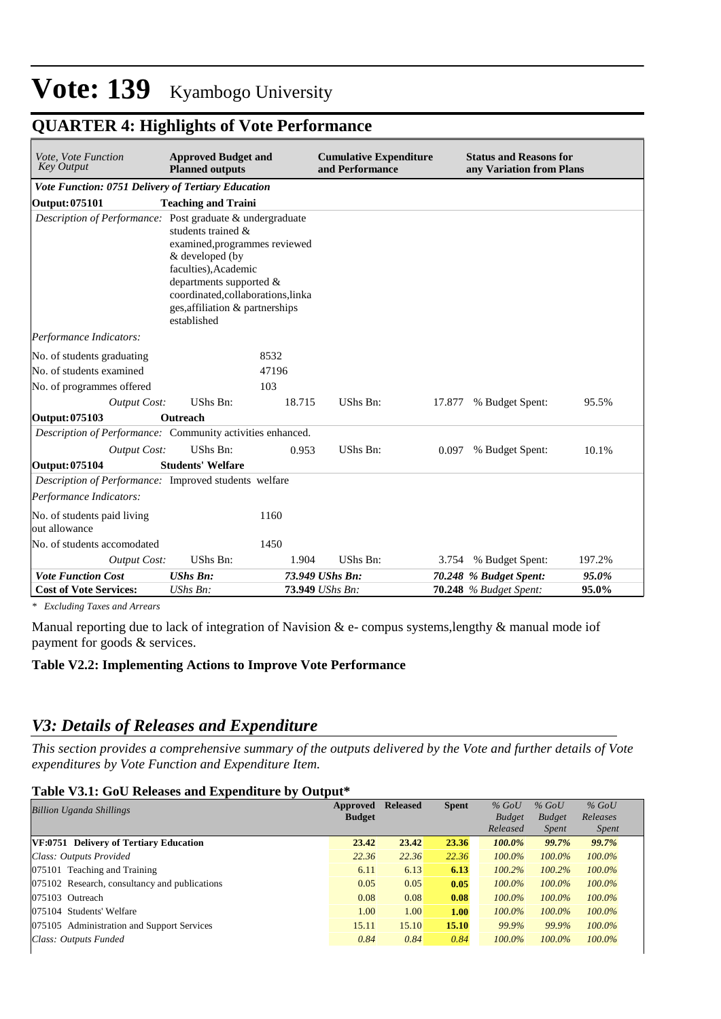## **QUARTER 4: Highlights of Vote Performance**

| Vote, Vote Function<br><b>Key Output</b>                   | <b>Approved Budget and</b><br><b>Planned outputs</b>                                                                                                                                                               |        | <b>Cumulative Expenditure</b><br>and Performance |        | <b>Status and Reasons for</b><br>any Variation from Plans |        |
|------------------------------------------------------------|--------------------------------------------------------------------------------------------------------------------------------------------------------------------------------------------------------------------|--------|--------------------------------------------------|--------|-----------------------------------------------------------|--------|
| Vote Function: 0751 Delivery of Tertiary Education         |                                                                                                                                                                                                                    |        |                                                  |        |                                                           |        |
| <b>Output: 075101</b>                                      | <b>Teaching and Traini</b>                                                                                                                                                                                         |        |                                                  |        |                                                           |        |
| Description of Performance: Post graduate & undergraduate  | students trained $\&$<br>examined, programmes reviewed<br>& developed (by<br>faculties), Academic<br>departments supported &<br>coordinated,collaborations,linka<br>ges, affiliation & partnerships<br>established |        |                                                  |        |                                                           |        |
| Performance Indicators:                                    |                                                                                                                                                                                                                    |        |                                                  |        |                                                           |        |
| No. of students graduating                                 |                                                                                                                                                                                                                    | 8532   |                                                  |        |                                                           |        |
| No. of students examined                                   |                                                                                                                                                                                                                    | 47196  |                                                  |        |                                                           |        |
| No. of programmes offered                                  |                                                                                                                                                                                                                    | 103    |                                                  |        |                                                           |        |
| <b>Output Cost:</b>                                        | UShs Bn:                                                                                                                                                                                                           | 18.715 | UShs Bn:                                         | 17.877 | % Budget Spent:                                           | 95.5%  |
| Output: 075103                                             | Outreach                                                                                                                                                                                                           |        |                                                  |        |                                                           |        |
| Description of Performance: Community activities enhanced. |                                                                                                                                                                                                                    |        |                                                  |        |                                                           |        |
| Output Cost:                                               | UShs Bn:                                                                                                                                                                                                           | 0.953  | UShs Bn:                                         | 0.097  | % Budget Spent:                                           | 10.1%  |
| Output: 075104                                             | <b>Students' Welfare</b>                                                                                                                                                                                           |        |                                                  |        |                                                           |        |
| Description of Performance: Improved students welfare      |                                                                                                                                                                                                                    |        |                                                  |        |                                                           |        |
| Performance Indicators:                                    |                                                                                                                                                                                                                    |        |                                                  |        |                                                           |        |
| No. of students paid living<br>out allowance               |                                                                                                                                                                                                                    | 1160   |                                                  |        |                                                           |        |
| No. of students accomodated                                |                                                                                                                                                                                                                    | 1450   |                                                  |        |                                                           |        |
| <b>Output Cost:</b>                                        | <b>UShs Bn:</b>                                                                                                                                                                                                    | 1.904  | UShs Bn:                                         | 3.754  | % Budget Spent:                                           | 197.2% |
| <b>Vote Function Cost</b>                                  | <b>UShs Bn:</b>                                                                                                                                                                                                    |        | 73.949 UShs Bn:                                  |        | 70.248 % Budget Spent:                                    | 95.0%  |
| <b>Cost of Vote Services:</b>                              | UShs Bn:                                                                                                                                                                                                           |        | 73.949 UShs Bn:                                  |        | <b>70.248</b> % Budget Spent:                             | 95.0%  |

*\* Excluding Taxes and Arrears*

Manual reporting due to lack of integration of Navision & e- compus systems,lengthy & manual mode iof payment for goods & services.

#### **Table V2.2: Implementing Actions to Improve Vote Performance**

## *V3: Details of Releases and Expenditure*

*This section provides a comprehensive summary of the outputs delivered by the Vote and further details of Vote expenditures by Vote Function and Expenditure Item.*

#### **Table V3.1: GoU Releases and Expenditure by Output\***

| <b>Billion Uganda Shillings</b>               | Approved<br><b>Budget</b> | <b>Released</b> | <b>Spent</b> | $%$ GoU<br><b>Budget</b> | $%$ GoU<br><b>Budget</b> | $%$ GoU<br>Releases |
|-----------------------------------------------|---------------------------|-----------------|--------------|--------------------------|--------------------------|---------------------|
|                                               |                           |                 |              | Released                 | <i>Spent</i>             | <i>Spent</i>        |
| VF:0751 Delivery of Tertiary Education        | 23.42                     | 23.42           | 23.36        | 100.0%                   | 99.7%                    | 99.7%               |
| Class: Outputs Provided                       | 22.36                     | 22.36           | 22.36        | $100.0\%$                | $100.0\%$                | $100.0\%$           |
| 075101 Teaching and Training                  | 6.11                      | 6.13            | 6.13         | $100.2\%$                | 100.2%                   | $100.0\%$           |
| 075102 Research, consultancy and publications | 0.05                      | 0.05            | 0.05         | $100.0\%$                | 100.0%                   | $100.0\%$           |
| 075103 Outreach                               | 0.08                      | 0.08            | 0.08         | $100.0\%$                | 100.0%                   | 100.0%              |
| 075104 Students' Welfare                      | 1.00                      | 1.00            | 1.00         | $100.0\%$                | $100.0\%$                | $100.0\%$           |
| 075105 Administration and Support Services    | 15.11                     | 15.10           | 15.10        | 99.9%                    | 99.9%                    | $100.0\%$           |
| Class: Outputs Funded                         | 0.84                      | 0.84            | 0.84         | $100.0\%$                | $100.0\%$                | $100.0\%$           |
|                                               |                           |                 |              |                          |                          |                     |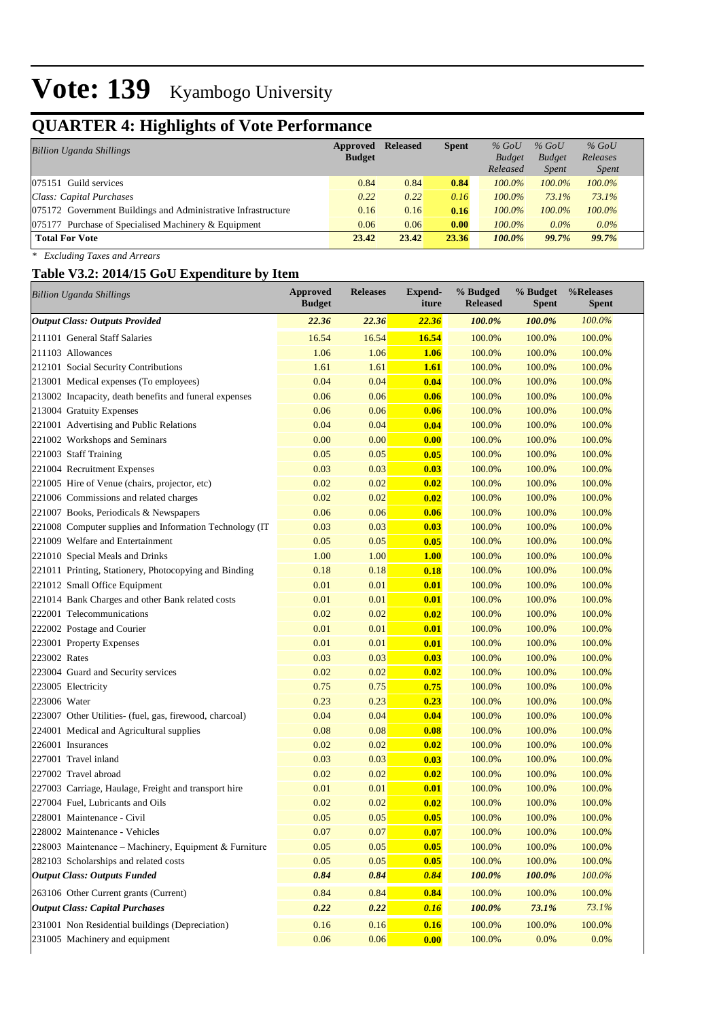## **QUARTER 4: Highlights of Vote Performance**

| <b>Billion Uganda Shillings</b>                               | Approved<br><b>Budget</b> | <b>Released</b> | <b>Spent</b> | $%$ GoU<br><b>Budget</b><br>Released | $%$ GoU<br><b>Budget</b><br><i>Spent</i> | $%$ GoU<br>Releases<br><i>Spent</i> |
|---------------------------------------------------------------|---------------------------|-----------------|--------------|--------------------------------------|------------------------------------------|-------------------------------------|
| $ 075151$ Guild services                                      | 0.84                      | 0.84            | 0.84         | $100.0\%$                            | $100.0\%$                                | 100.0%                              |
| Class: Capital Purchases                                      | 0.22                      | 0.22            | 0.16         | $100.0\%$                            | $73.1\%$                                 | 73.1%                               |
| 075172 Government Buildings and Administrative Infrastructure | 0.16                      | 0.16            | 0.16         | $100.0\%$                            | 100.0%                                   | $100.0\%$                           |
| 075177 Purchase of Specialised Machinery & Equipment          | 0.06                      | 0.06            | 0.00         | $100.0\%$                            | $0.0\%$                                  | $0.0\%$                             |
| <b>Total For Vote</b>                                         | 23.42                     | 23.42           | 23.36        | $100.0\%$                            | 99.7%                                    | 99.7%                               |

*\* Excluding Taxes and Arrears*

## **Table V3.2: 2014/15 GoU Expenditure by Item**

| <b>Billion Uganda Shillings</b>                         | <b>Approved</b><br><b>Budget</b> | <b>Releases</b> | Expend-<br>iture | % Budged<br><b>Released</b> | % Budget<br><b>Spent</b> | %Releases<br><b>Spent</b> |
|---------------------------------------------------------|----------------------------------|-----------------|------------------|-----------------------------|--------------------------|---------------------------|
| <b>Output Class: Outputs Provided</b>                   | 22.36                            | 22.36           | 22.36            | 100.0%                      | 100.0%                   | 100.0%                    |
| 211101 General Staff Salaries                           | 16.54                            | 16.54           | 16.54            | 100.0%                      | 100.0%                   | 100.0%                    |
| 211103 Allowances                                       | 1.06                             | 1.06            | 1.06             | 100.0%                      | 100.0%                   | 100.0%                    |
| 212101 Social Security Contributions                    | 1.61                             | 1.61            | <b>1.61</b>      | 100.0%                      | 100.0%                   | 100.0%                    |
| 213001 Medical expenses (To employees)                  | 0.04                             | 0.04            | 0.04             | 100.0%                      | 100.0%                   | 100.0%                    |
| 213002 Incapacity, death benefits and funeral expenses  | 0.06                             | 0.06            | 0.06             | 100.0%                      | 100.0%                   | 100.0%                    |
| 213004 Gratuity Expenses                                | 0.06                             | 0.06            | 0.06             | 100.0%                      | 100.0%                   | 100.0%                    |
| 221001 Advertising and Public Relations                 | 0.04                             | 0.04            | 0.04             | 100.0%                      | 100.0%                   | 100.0%                    |
| 221002 Workshops and Seminars                           | 0.00                             | 0.00            | 0.00             | 100.0%                      | 100.0%                   | 100.0%                    |
| 221003 Staff Training                                   | 0.05                             | 0.05            | 0.05             | 100.0%                      | 100.0%                   | 100.0%                    |
| 221004 Recruitment Expenses                             | 0.03                             | 0.03            | 0.03             | 100.0%                      | 100.0%                   | 100.0%                    |
| 221005 Hire of Venue (chairs, projector, etc)           | 0.02                             | 0.02            | 0.02             | 100.0%                      | 100.0%                   | 100.0%                    |
| 221006 Commissions and related charges                  | 0.02                             | 0.02            | 0.02             | 100.0%                      | 100.0%                   | 100.0%                    |
| 221007 Books, Periodicals & Newspapers                  | 0.06                             | 0.06            | 0.06             | 100.0%                      | 100.0%                   | 100.0%                    |
| 221008 Computer supplies and Information Technology (IT | 0.03                             | 0.03            | 0.03             | 100.0%                      | 100.0%                   | 100.0%                    |
| 221009 Welfare and Entertainment                        | 0.05                             | 0.05            | 0.05             | 100.0%                      | 100.0%                   | 100.0%                    |
| 221010 Special Meals and Drinks                         | 1.00                             | 1.00            | 1.00             | 100.0%                      | 100.0%                   | 100.0%                    |
| 221011 Printing, Stationery, Photocopying and Binding   | 0.18                             | 0.18            | 0.18             | 100.0%                      | 100.0%                   | 100.0%                    |
| 221012 Small Office Equipment                           | 0.01                             | 0.01            | 0.01             | 100.0%                      | 100.0%                   | 100.0%                    |
| 221014 Bank Charges and other Bank related costs        | 0.01                             | 0.01            | 0.01             | 100.0%                      | 100.0%                   | 100.0%                    |
| 222001 Telecommunications                               | 0.02                             | 0.02            | 0.02             | 100.0%                      | 100.0%                   | 100.0%                    |
| 222002 Postage and Courier                              | 0.01                             | 0.01            | 0.01             | 100.0%                      | 100.0%                   | 100.0%                    |
| 223001 Property Expenses                                | 0.01                             | 0.01            | 0.01             | 100.0%                      | 100.0%                   | 100.0%                    |
| 223002 Rates                                            | 0.03                             | 0.03            | 0.03             | 100.0%                      | 100.0%                   | 100.0%                    |
| 223004 Guard and Security services                      | 0.02                             | 0.02            | 0.02             | 100.0%                      | 100.0%                   | 100.0%                    |
| 223005 Electricity                                      | 0.75                             | 0.75            | 0.75             | 100.0%                      | 100.0%                   | 100.0%                    |
| 223006 Water                                            | 0.23                             | 0.23            | 0.23             | 100.0%                      | 100.0%                   | 100.0%                    |
| 223007 Other Utilities- (fuel, gas, firewood, charcoal) | 0.04                             | 0.04            | 0.04             | 100.0%                      | 100.0%                   | 100.0%                    |
| 224001 Medical and Agricultural supplies                | 0.08                             | 0.08            | 0.08             | 100.0%                      | 100.0%                   | 100.0%                    |
| 226001 Insurances                                       | 0.02                             | 0.02            | 0.02             | 100.0%                      | 100.0%                   | 100.0%                    |
| 227001 Travel inland                                    | 0.03                             | 0.03            | 0.03             | 100.0%                      | 100.0%                   | 100.0%                    |
| 227002 Travel abroad                                    | 0.02                             | 0.02            | 0.02             | 100.0%                      | 100.0%                   | 100.0%                    |
| 227003 Carriage, Haulage, Freight and transport hire    | 0.01                             | 0.01            | 0.01             | 100.0%                      | 100.0%                   | 100.0%                    |
| 227004 Fuel, Lubricants and Oils                        | 0.02                             | 0.02            | 0.02             | 100.0%                      | 100.0%                   | 100.0%                    |
| 228001 Maintenance - Civil                              | 0.05                             | 0.05            | 0.05             | 100.0%                      | 100.0%                   | 100.0%                    |
| 228002 Maintenance - Vehicles                           | 0.07                             | 0.07            | 0.07             | 100.0%                      | 100.0%                   | 100.0%                    |
| 228003 Maintenance - Machinery, Equipment & Furniture   | 0.05                             | 0.05            | 0.05             | 100.0%                      | 100.0%                   | 100.0%                    |
| 282103 Scholarships and related costs                   | 0.05                             | 0.05            | 0.05             | 100.0%                      | 100.0%                   | 100.0%                    |
| <b>Output Class: Outputs Funded</b>                     | 0.84                             | 0.84            | 0.84             | 100.0%                      | 100.0%                   | 100.0%                    |
| 263106 Other Current grants (Current)                   | 0.84                             | 0.84            | 0.84             | 100.0%                      | 100.0%                   | 100.0%                    |
| <b>Output Class: Capital Purchases</b>                  | 0.22                             | 0.22            | 0.16             | 100.0%                      | 73.1%                    | 73.1%                     |
| 231001 Non Residential buildings (Depreciation)         | 0.16                             | 0.16            | 0.16             | 100.0%                      | 100.0%                   | 100.0%                    |
| 231005 Machinery and equipment                          | 0.06                             | 0.06            | 0.00             | 100.0%                      | 0.0%                     | 0.0%                      |